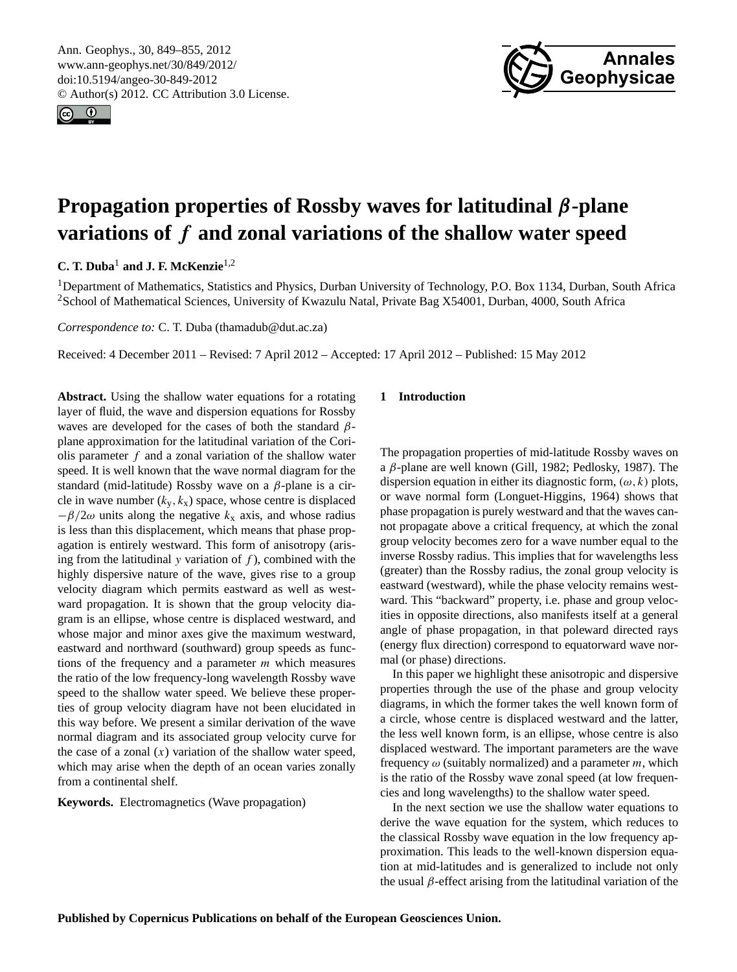<span id="page-0-0"></span>Ann. Geophys., 30, 849–855, 2012 www.ann-geophys.net/30/849/2012/ doi:10.5194/angeo-30-849-2012 © Author(s) 2012. CC Attribution 3.0 License.





# **Propagation properties of Rossby waves for latitudinal** β**-plane variations of** f **and zonal variations of the shallow water speed**

## **C. T. Duba**<sup>1</sup> **and J. F. McKenzie**1,2

<sup>1</sup>Department of Mathematics, Statistics and Physics, Durban University of Technology, P.O. Box 1134, Durban, South Africa <sup>2</sup>School of Mathematical Sciences, University of Kwazulu Natal, Private Bag X54001, Durban, 4000, South Africa

*Correspondence to:* C. T. Duba (thamadub@dut.ac.za)

Received: 4 December 2011 – Revised: 7 April 2012 – Accepted: 17 April 2012 – Published: 15 May 2012

**Abstract.** Using the shallow water equations for a rotating layer of fluid, the wave and dispersion equations for Rossby waves are developed for the cases of both the standard  $\beta$ plane approximation for the latitudinal variation of the Coriolis parameter  $f$  and a zonal variation of the shallow water speed. It is well known that the wave normal diagram for the standard (mid-latitude) Rossby wave on a  $\beta$ -plane is a circle in wave number  $(k_y, k_x)$  space, whose centre is displaced  $-\beta/2\omega$  units along the negative  $k_x$  axis, and whose radius is less than this displacement, which means that phase propagation is entirely westward. This form of anisotropy (arising from the latitudinal y variation of  $f$ ), combined with the highly dispersive nature of the wave, gives rise to a group velocity diagram which permits eastward as well as westward propagation. It is shown that the group velocity diagram is an ellipse, whose centre is displaced westward, and whose major and minor axes give the maximum westward, eastward and northward (southward) group speeds as functions of the frequency and a parameter m which measures the ratio of the low frequency-long wavelength Rossby wave speed to the shallow water speed. We believe these properties of group velocity diagram have not been elucidated in this way before. We present a similar derivation of the wave normal diagram and its associated group velocity curve for the case of a zonal  $(x)$  variation of the shallow water speed, which may arise when the depth of an ocean varies zonally from a continental shelf.

**Keywords.** Electromagnetics (Wave propagation)

## **1 Introduction**

The propagation properties of mid-latitude Rossby waves on a β-plane are well known (Gill, 1982; Pedlosky, 1987). The dispersion equation in either its diagnostic form,  $(\omega, k)$  plots, or wave normal form (Longuet-Higgins, 1964) shows that phase propagation is purely westward and that the waves cannot propagate above a critical frequency, at which the zonal group velocity becomes zero for a wave number equal to the inverse Rossby radius. This implies that for wavelengths less (greater) than the Rossby radius, the zonal group velocity is eastward (westward), while the phase velocity remains westward. This "backward" property, i.e. phase and group velocities in opposite directions, also manifests itself at a general angle of phase propagation, in that poleward directed rays (energy flux direction) correspond to equatorward wave normal (or phase) directions.

In this paper we highlight these anisotropic and dispersive properties through the use of the phase and group velocity diagrams, in which the former takes the well known form of a circle, whose centre is displaced westward and the latter, the less well known form, is an ellipse, whose centre is also displaced westward. The important parameters are the wave frequency  $\omega$  (suitably normalized) and a parameter m, which is the ratio of the Rossby wave zonal speed (at low frequencies and long wavelengths) to the shallow water speed.

In the next section we use the shallow water equations to derive the wave equation for the system, which reduces to the classical Rossby wave equation in the low frequency approximation. This leads to the well-known dispersion equation at mid-latitudes and is generalized to include not only the usual  $\beta$ -effect arising from the latitudinal variation of the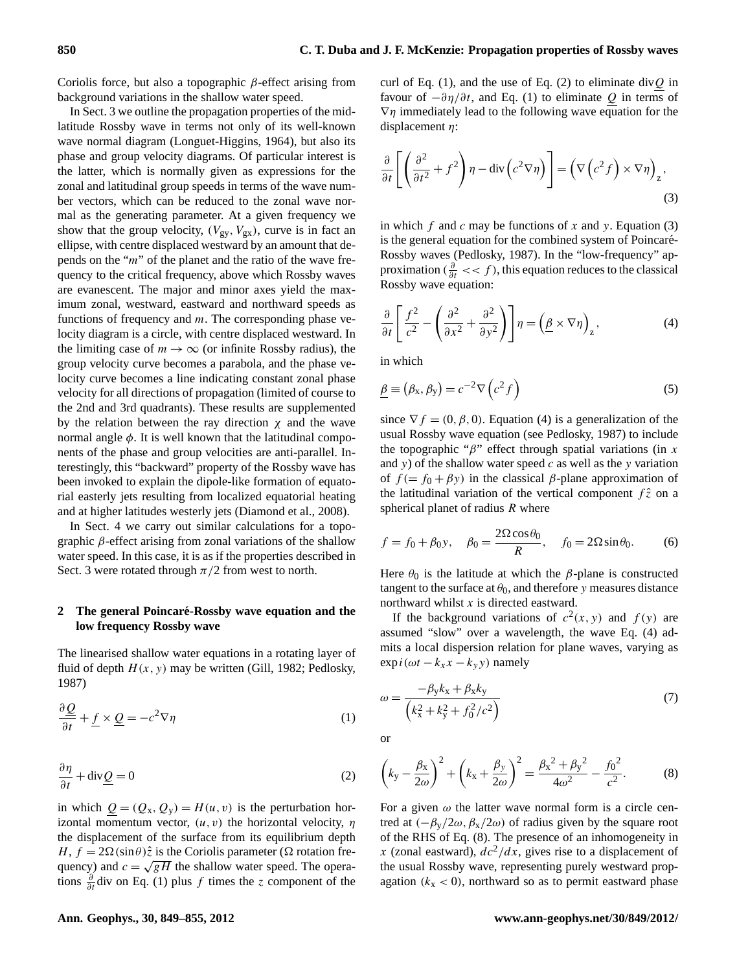Coriolis force, but also a topographic  $\beta$ -effect arising from background variations in the shallow water speed.

In Sect. 3 we outline the propagation properties of the midlatitude Rossby wave in terms not only of its well-known wave normal diagram (Longuet-Higgins, 1964), but also its phase and group velocity diagrams. Of particular interest is the latter, which is normally given as expressions for the zonal and latitudinal group speeds in terms of the wave number vectors, which can be reduced to the zonal wave normal as the generating parameter. At a given frequency we show that the group velocity,  $(V_{gy}, V_{gx})$ , curve is in fact an ellipse, with centre displaced westward by an amount that depends on the "m" of the planet and the ratio of the wave frequency to the critical frequency, above which Rossby waves are evanescent. The major and minor axes yield the maximum zonal, westward, eastward and northward speeds as functions of frequency and  $m$ . The corresponding phase velocity diagram is a circle, with centre displaced westward. In the limiting case of  $m \to \infty$  (or infinite Rossby radius), the group velocity curve becomes a parabola, and the phase velocity curve becomes a line indicating constant zonal phase velocity for all directions of propagation (limited of course to the 2nd and 3rd quadrants). These results are supplemented by the relation between the ray direction  $\chi$  and the wave normal angle  $\phi$ . It is well known that the latitudinal components of the phase and group velocities are anti-parallel. Interestingly, this "backward" property of the Rossby wave has been invoked to explain the dipole-like formation of equatorial easterly jets resulting from localized equatorial heating and at higher latitudes westerly jets (Diamond et al., 2008).

In Sect. [4](#page-4-0) we carry out similar calculations for a topographic β-effect arising from zonal variations of the shallow water speed. In this case, it is as if the properties described in Sect. 3 were rotated through  $\pi/2$  from west to north.

### **2 The general Poincare-Rossby wave equation and the ´ low frequency Rossby wave**

The linearised shallow water equations in a rotating layer of fluid of depth  $H(x, y)$  may be written (Gill, 1982; Pedlosky, 1987)

$$
\frac{\partial \mathcal{Q}}{\partial t} + \underline{f} \times \underline{Q} = -c^2 \nabla \eta \tag{1}
$$

$$
\frac{\partial \eta}{\partial t} + \text{div}\underline{Q} = 0\tag{2}
$$

in which  $Q = (Q_x, Q_y) = H(u, v)$  is the perturbation horizontal momentum vector,  $(u, v)$  the horizontal velocity,  $\eta$ the displacement of the surface from its equilibrium depth H,  $f = 2\Omega(\sin\theta)\hat{z}$  is the Coriolis parameter ( $\Omega$  rotation frequency) and  $c = \sqrt{gH}$  the shallow water speed. The operations  $\frac{\partial}{\partial t}$  div on Eq. (1) plus f times the z component of the

curl of Eq. (1), and the use of Eq. (2) to eliminate div $Q$  in favour of  $-\partial \eta/\partial t$ , and Eq. (1) to eliminate Q in terms of  $\nabla \eta$  immediately lead to the following wave equation for the displacement  $\eta$ :

<span id="page-1-0"></span>
$$
\frac{\partial}{\partial t} \left[ \left( \frac{\partial^2}{\partial t^2} + f^2 \right) \eta - \text{div} \left( c^2 \nabla \eta \right) \right] = \left( \nabla \left( c^2 f \right) \times \nabla \eta \right)_z,
$$
\n(3)

in which  $f$  and  $c$  may be functions of  $x$  and  $y$ . Equation [\(3\)](#page-1-0) is the general equation for the combined system of Poincaré-Rossby waves (Pedlosky, 1987). In the "low-frequency" approximation ( $\frac{\partial}{\partial t} \ll f$ ), this equation reduces to the classical Rossby wave equation:

<span id="page-1-1"></span>
$$
\frac{\partial}{\partial t} \left[ \frac{f^2}{c^2} - \left( \frac{\partial^2}{\partial x^2} + \frac{\partial^2}{\partial y^2} \right) \right] \eta = \left( \underline{\beta} \times \nabla \eta \right)_z, \tag{4}
$$

in which

$$
\underline{\beta} \equiv (\beta_x, \beta_y) = c^{-2} \nabla \left( c^2 f \right)
$$
\n(5)

since  $\nabla f = (0, \beta, 0)$ . Equation [\(4\)](#page-1-1) is a generalization of the usual Rossby wave equation (see Pedlosky, 1987) to include the topographic " $\beta$ " effect through spatial variations (in x and y) of the shallow water speed  $c$  as well as the y variation of  $f = f_0 + \beta y$  in the classical  $\beta$ -plane approximation of the latitudinal variation of the vertical component  $f\hat{z}$  on a spherical planet of radius  $R$  where

<span id="page-1-3"></span>
$$
f = f_0 + \beta_0 y, \quad \beta_0 = \frac{2\Omega \cos \theta_0}{R}, \quad f_0 = 2\Omega \sin \theta_0.
$$
 (6)

Here  $\theta_0$  is the latitude at which the  $\beta$ -plane is constructed tangent to the surface at  $\theta_0$ , and therefore y measures distance northward whilst x is directed eastward.

If the background variations of  $c^2(x, y)$  and  $f(y)$  are assumed "slow" over a wavelength, the wave Eq. [\(4\)](#page-1-1) admits a local dispersion relation for plane waves, varying as  $\exp i(\omega t - k_x x - k_y y)$  namely

<span id="page-1-4"></span>
$$
\omega = \frac{-\beta_{y}k_{x} + \beta_{x}k_{y}}{\left(k_{x}^{2} + k_{y}^{2} + f_{0}^{2}/c^{2}\right)}
$$
\n(7)

<span id="page-1-2"></span>or

$$
\left(k_{y} - \frac{\beta_{x}}{2\omega}\right)^{2} + \left(k_{x} + \frac{\beta_{y}}{2\omega}\right)^{2} = \frac{\beta_{x}^{2} + \beta_{y}^{2}}{4\omega^{2}} - \frac{f_{0}^{2}}{c^{2}}.
$$
 (8)

For a given  $\omega$  the latter wave normal form is a circle centred at  $(-\beta_{\rm v}/2\omega, \beta_{\rm x}/2\omega)$  of radius given by the square root of the RHS of Eq. [\(8\)](#page-1-2). The presence of an inhomogeneity in x (zonal eastward),  $dc^2/dx$ , gives rise to a displacement of the usual Rossby wave, representing purely westward propagation  $(k_x < 0)$ , northward so as to permit eastward phase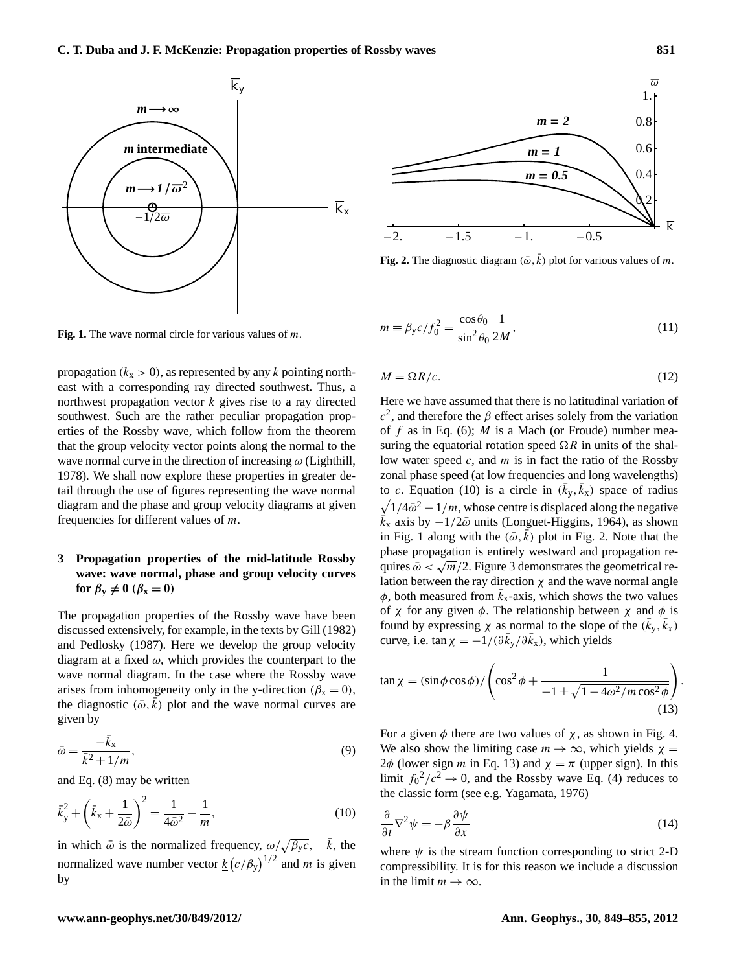

 $m = 2$  $m = 1$ *m = 0.5*  $-2.$   $-1.5$   $-1.$   $-0.5$ *k*  $\alpha$ 0.4 0.6 0.8  $1.1$  $\overline{O}$ 

<span id="page-2-2"></span>**Fig. 2.** The diagnostic diagram  $(\bar{\omega}, \bar{k})$  plot for various values of m.

<span id="page-2-1"></span>**Fig. 1.** The wave normal circle for various values of m.

propagation ( $k_x > 0$ ), as represented by any k pointing northeast with a corresponding ray directed southwest. Thus, a northwest propagation vector  $k$  gives rise to a ray directed southwest. Such are the rather peculiar propagation properties of the Rossby wave, which follow from the theorem that the group velocity vector points along the normal to the wave normal curve in the direction of increasing  $\omega$  (Lighthill, 1978). We shall now explore these properties in greater detail through the use of figures representing the wave normal diagram and the phase and group velocity diagrams at given frequencies for different values of m.

## **3 Propagation properties of the mid-latitude Rossby wave: wave normal, phase and group velocity curves for**  $\beta_y \neq 0$  ( $\beta_x = 0$ )

The propagation properties of the Rossby wave have been discussed extensively, for example, in the texts by Gill (1982) and Pedlosky (1987). Here we develop the group velocity diagram at a fixed  $\omega$ , which provides the counterpart to the wave normal diagram. In the case where the Rossby wave arises from inhomogeneity only in the y-direction ( $\beta_x = 0$ ), the diagnostic  $(\bar{\omega}, \bar{k})$  plot and the wave normal curves are given by

$$
\bar{\omega} = \frac{-\bar{k}_x}{\bar{k}^2 + 1/m},\tag{9}
$$

<span id="page-2-0"></span>and Eq. [\(8\)](#page-1-2) may be written

$$
\bar{k}_y^2 + \left(\bar{k}_x + \frac{1}{2\bar{\omega}}\right)^2 = \frac{1}{4\bar{\omega}^2} - \frac{1}{m},\tag{10}
$$

in which  $\bar{\omega}$  is the normalized frequency,  $\omega/\sqrt{\beta_y c}$ ,  $\bar{k}$ , the normalized wave number vector  $\underline{k}(c/\beta_y)^{1/2}$  and m is given by

$$
m \equiv \beta_{\rm y} c / f_0^2 = \frac{\cos \theta_0}{\sin^2 \theta_0} \frac{1}{2M},
$$
\n(11)

$$
M = \Omega R/c. \tag{12}
$$

Here we have assumed that there is no latitudinal variation of  $c<sup>2</sup>$ , and therefore the  $\beta$  effect arises solely from the variation of f as in Eq. [\(6\)](#page-1-3); M is a Mach (or Froude) number measuring the equatorial rotation speed  $\Omega R$  in units of the shallow water speed  $c$ , and  $m$  is in fact the ratio of the Rossby zonal phase speed (at low frequencies and long wavelengths) to c. Equation [\(10\)](#page-2-0) is a circle in  $(\bar{k}_y, \bar{k}_x)$  space of radius  $\sqrt{1/4\bar{\omega}^2 - 1/m}$ , whose centre is displaced along the negative  $k_x$  axis by  $-1/2\bar{\omega}$  units (Longuet-Higgins, 1964), as shown in Fig. [1](#page-2-1) along with the  $(\bar{\omega}, k)$  plot in Fig. [2.](#page-2-2) Note that the phase propagation is entirely westward and propagation requires  $\bar{\omega} < \sqrt{m}/2$ . Figure [3](#page-3-0) demonstrates the geometrical relation between the ray direction  $\chi$  and the wave normal angle  $\phi$ , both measured from  $\vec{k}_x$ -axis, which shows the two values of  $\chi$  for any given  $\phi$ . The relationship between  $\chi$  and  $\phi$  is found by expressing  $\chi$  as normal to the slope of the  $(\bar{k}_y, \bar{k}_x)$ curve, i.e.  $\tan \chi = -1/(\partial \bar{k}_y / \partial \bar{k}_x)$ , which yields

<span id="page-2-3"></span>
$$
\tan \chi = (\sin \phi \cos \phi) / \left( \cos^2 \phi + \frac{1}{-1 \pm \sqrt{1 - 4\omega^2 / m \cos^2 \phi}} \right).
$$
\n(13)

For a given  $\phi$  there are two values of  $\chi$ , as shown in Fig. [4.](#page-3-1) We also show the limiting case  $m \to \infty$ , which yields  $\chi =$ 2 $\phi$  (lower sign *m* in Eq. [13\)](#page-2-3) and  $\chi = \pi$  (upper sign). In this limit  $f_0^2/c^2 \to 0$ , and the Rossby wave Eq. [\(4\)](#page-1-1) reduces to the classic form (see e.g. Yagamata, 1976)

$$
\frac{\partial}{\partial t}\nabla^2\psi = -\beta \frac{\partial \psi}{\partial x} \tag{14}
$$

where  $\psi$  is the stream function corresponding to strict 2-D compressibility. It is for this reason we include a discussion in the limit  $m \to \infty$ .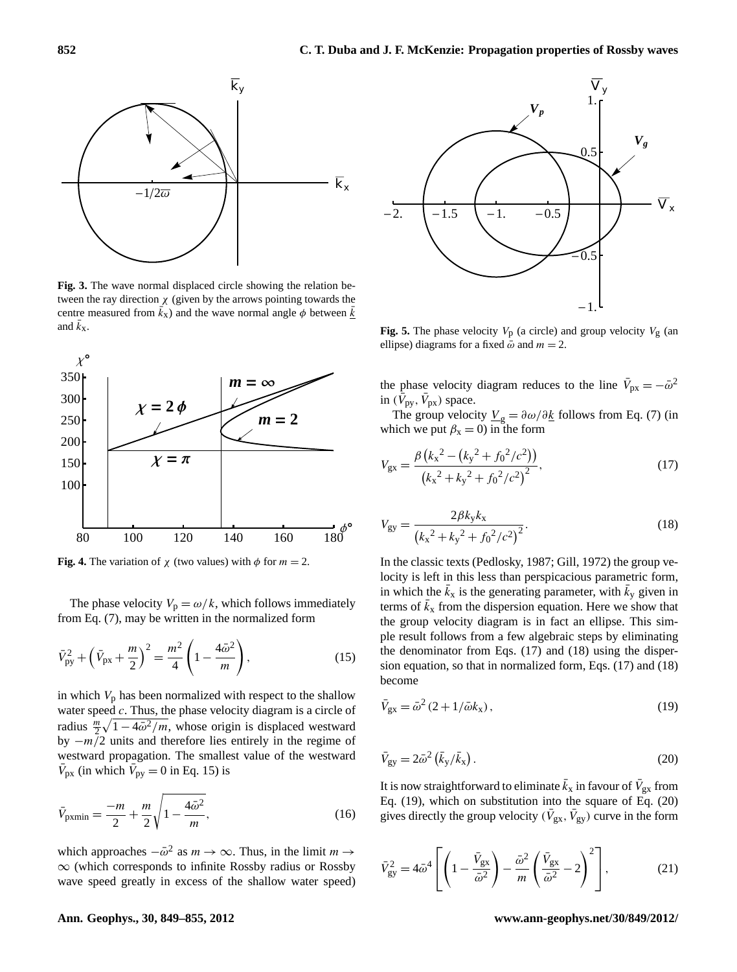

<span id="page-3-0"></span>**Fig. 3.** The wave normal displaced circle showing the relation between the ray direction  $\chi$  (given by the arrows pointing towards the centre measured from  $\vec{k}_x$ ) and the wave normal angle  $\phi$  between  $\vec{k}$ and  $\bar{k}_x$ .



<span id="page-3-1"></span>**Fig. 4.** The variation of  $\chi$  (two values) with  $\phi$  for  $m = 2$ .

The phase velocity  $V_p = \omega/k$ , which follows immediately from Eq. [\(7\)](#page-1-4), may be written in the normalized form

$$
\bar{V}_{\text{py}}^2 + \left(\bar{V}_{\text{px}} + \frac{m}{2}\right)^2 = \frac{m^2}{4} \left(1 - \frac{4\bar{\omega}^2}{m}\right),\tag{15}
$$

in which  $V_p$  has been normalized with respect to the shallow water speed  $c$ . Thus, the phase velocity diagram is a circle of radius  $\frac{m}{2}\sqrt{1-4\bar{\omega}^2/m}$ , whose origin is displaced westward by  $-m/2$  units and therefore lies entirely in the regime of westward propagation. The smallest value of the westward  $\bar{V}_{\text{px}}$  (in which  $\bar{V}_{\text{py}} = 0$  in Eq. [15\)](#page-3-2) is

$$
\bar{V}_{\text{pxxmin}} = \frac{-m}{2} + \frac{m}{2} \sqrt{1 - \frac{4\bar{\omega}^2}{m}},\tag{16}
$$

which approaches  $-\bar{\omega}^2$  as  $m \to \infty$ . Thus, in the limit  $m \to$ ∞ (which corresponds to infinite Rossby radius or Rossby wave speed greatly in excess of the shallow water speed)



<span id="page-3-7"></span>**Fig. 5.** The phase velocity  $V_p$  (a circle) and group velocity  $V_g$  (an ellipse) diagrams for a fixed  $\bar{\omega}$  and  $m = 2$ .

the phase velocity diagram reduces to the line  $\bar{V}_{px} = -\bar{\omega}^2$ in  $(\bar{V}_{\text{py}}, \bar{V}_{\text{px}})$  space.

<span id="page-3-3"></span>The group velocity  $\underline{V}_g = \partial \omega / \partial \underline{k}$  follows from Eq. [\(7\)](#page-1-4) (in which we put  $\beta_x = 0$ ) in the form

$$
V_{\rm gx} = \frac{\beta \left(k_x^2 - \left(k_y^2 + f_0^2/c^2\right)\right)}{\left(k_x^2 + k_y^2 + f_0^2/c^2\right)^2},\tag{17}
$$

<span id="page-3-4"></span>
$$
V_{gy} = \frac{2\beta k_y k_x}{\left(k_x{}^2 + k_y{}^2 + f_0{}^2/c^2\right)^2}.
$$
\n(18)

<span id="page-3-2"></span>In the classic texts (Pedlosky, 1987; Gill, 1972) the group velocity is left in this less than perspicacious parametric form, in which the  $\bar{k}_x$  is the generating parameter, with  $\bar{k}_y$  given in terms of  $\bar{k}_x$  from the dispersion equation. Here we show that the group velocity diagram is in fact an ellipse. This simple result follows from a few algebraic steps by eliminating the denominator from Eqs. [\(17\)](#page-3-3) and [\(18\)](#page-3-4) using the dispersion equation, so that in normalized form, Eqs. [\(17\)](#page-3-3) and [\(18\)](#page-3-4) become

<span id="page-3-6"></span><span id="page-3-5"></span>
$$
\bar{V}_{\rm gx} = \bar{\omega}^2 \left( 2 + 1/\bar{\omega} k_{\rm x} \right),\tag{19}
$$

$$
\bar{V}_{\rm gy} = 2\bar{\omega}^2 \left( \bar{k}_{\rm y}/\bar{k}_{\rm x} \right). \tag{20}
$$

It is now straightforward to eliminate  $\bar{k}_x$  in favour of  $\bar{V}_{gx}$  from Eq. [\(19\)](#page-3-5), which on substitution into the square of Eq. [\(20\)](#page-3-6) gives directly the group velocity ( $\bar{V}_{gx}$ ,  $\bar{V}_{gy}$ ) curve in the form

<span id="page-3-8"></span>
$$
\bar{V}_{\rm gy}^2 = 4\bar{\omega}^4 \left[ \left( 1 - \frac{\bar{V}_{\rm gx}}{\bar{\omega}^2} \right) - \frac{\bar{\omega}^2}{m} \left( \frac{\bar{V}_{\rm gx}}{\bar{\omega}^2} - 2 \right)^2 \right],\tag{21}
$$

#### **Ann. Geophys., 30, 849[–855,](#page-0-0) 2012 www.ann-geophys.net/30/849/2012/**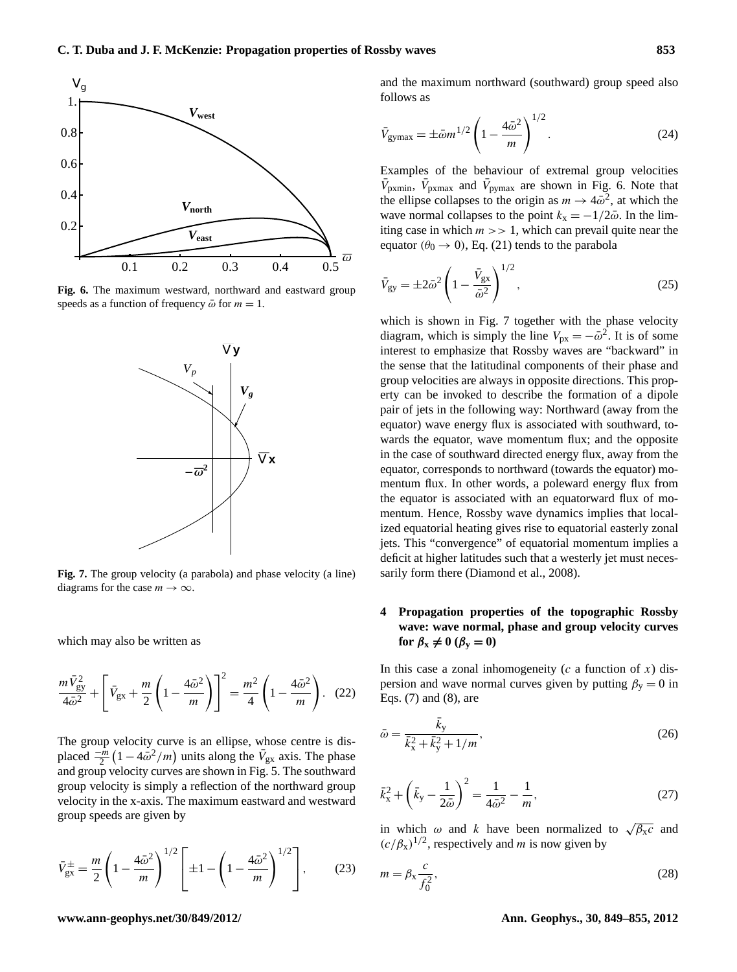

<span id="page-4-1"></span>**Fig. 6.** The maximum westward, northward and eastward group speeds as a function of frequency  $\bar{\omega}$  for  $m = 1$ .



<span id="page-4-2"></span>**Fig. 7.** The group velocity (a parabola) and phase velocity (a line) diagrams for the case  $m \to \infty$ .

<span id="page-4-3"></span>which may also be written as

$$
\frac{m\,\bar{V}_{\rm gy}^2}{4\bar{\omega}^2} + \left[\,\bar{V}_{\rm gx} + \frac{m}{2}\left(1 - \frac{4\bar{\omega}^2}{m}\right)\right]^2 = \frac{m^2}{4}\left(1 - \frac{4\bar{\omega}^2}{m}\right). \tag{22}
$$

The group velocity curve is an ellipse, whose centre is displaced  $\frac{-m}{2}(1-4\bar{\omega}^2/m)$  units along the  $\bar{V}_{gx}$  axis. The phase and group velocity curves are shown in Fig. [5.](#page-3-7) The southward group velocity is simply a reflection of the northward group velocity in the x-axis. The maximum eastward and westward group speeds are given by

<span id="page-4-4"></span>
$$
\bar{V}_{\rm gx}^{\pm} = \frac{m}{2} \left( 1 - \frac{4\bar{\omega}^2}{m} \right)^{1/2} \left[ \pm 1 - \left( 1 - \frac{4\bar{\omega}^2}{m} \right)^{1/2} \right],\tag{23}
$$

<span id="page-4-5"></span>and the maximum northward (southward) group speed also follows as

$$
\bar{V}_{\text{gymax}} = \pm \bar{\omega} m^{1/2} \left( 1 - \frac{4\bar{\omega}^2}{m} \right)^{1/2} . \tag{24}
$$

Examples of the behaviour of extremal group velocities  $\bar{V}_{\text{pxxmin}}$ ,  $\bar{V}_{\text{pxymax}}$  and  $\bar{V}_{\text{pymax}}$  are shown in Fig. [6.](#page-4-1) Note that the ellipse collapses to the origin as  $m \to 4\bar{\omega}^2$ , at which the wave normal collapses to the point  $k_x = -1/2\bar{\omega}$ . In the limiting case in which  $m \gg 1$ , which can prevail quite near the equator ( $\theta_0 \rightarrow 0$ ), Eq. [\(21\)](#page-3-8) tends to the parabola

$$
\bar{V}_{\rm gy} = \pm 2\bar{\omega}^2 \left(1 - \frac{\bar{V}_{\rm gx}}{\bar{\omega}^2}\right)^{1/2},\tag{25}
$$

which is shown in Fig. [7](#page-4-2) together with the phase velocity diagram, which is simply the line  $V_{px} = -\bar{\omega}^2$ . It is of some interest to emphasize that Rossby waves are "backward" in the sense that the latitudinal components of their phase and group velocities are always in opposite directions. This property can be invoked to describe the formation of a dipole pair of jets in the following way: Northward (away from the equator) wave energy flux is associated with southward, towards the equator, wave momentum flux; and the opposite in the case of southward directed energy flux, away from the equator, corresponds to northward (towards the equator) momentum flux. In other words, a poleward energy flux from the equator is associated with an equatorward flux of momentum. Hence, Rossby wave dynamics implies that localized equatorial heating gives rise to equatorial easterly zonal jets. This "convergence" of equatorial momentum implies a deficit at higher latitudes such that a westerly jet must necessarily form there (Diamond et al., 2008).

## <span id="page-4-0"></span>**4 Propagation properties of the topographic Rossby wave: wave normal, phase and group velocity curves**  $\text{for } \beta_x \neq 0 \ (\beta_y = 0)$

In this case a zonal inhomogeneity ( $c$  a function of  $x$ ) dispersion and wave normal curves given by putting  $\beta_y = 0$  in Eqs. [\(7\)](#page-1-4) and [\(8\)](#page-1-2), are

$$
\bar{\omega} = \frac{\bar{k}_y}{\bar{k}_x^2 + \bar{k}_y^2 + 1/m},\tag{26}
$$

$$
\bar{k}_{x}^{2} + \left(\bar{k}_{y} - \frac{1}{2\bar{\omega}}\right)^{2} = \frac{1}{4\bar{\omega}^{2}} - \frac{1}{m},\tag{27}
$$

in which  $\omega$  and k have been normalized to  $\sqrt{\beta_x c}$  and  $(c/\beta_x)^{1/2}$ , respectively and *m* is now given by

$$
m = \beta_{\rm x} \frac{c}{f_0^2},\tag{28}
$$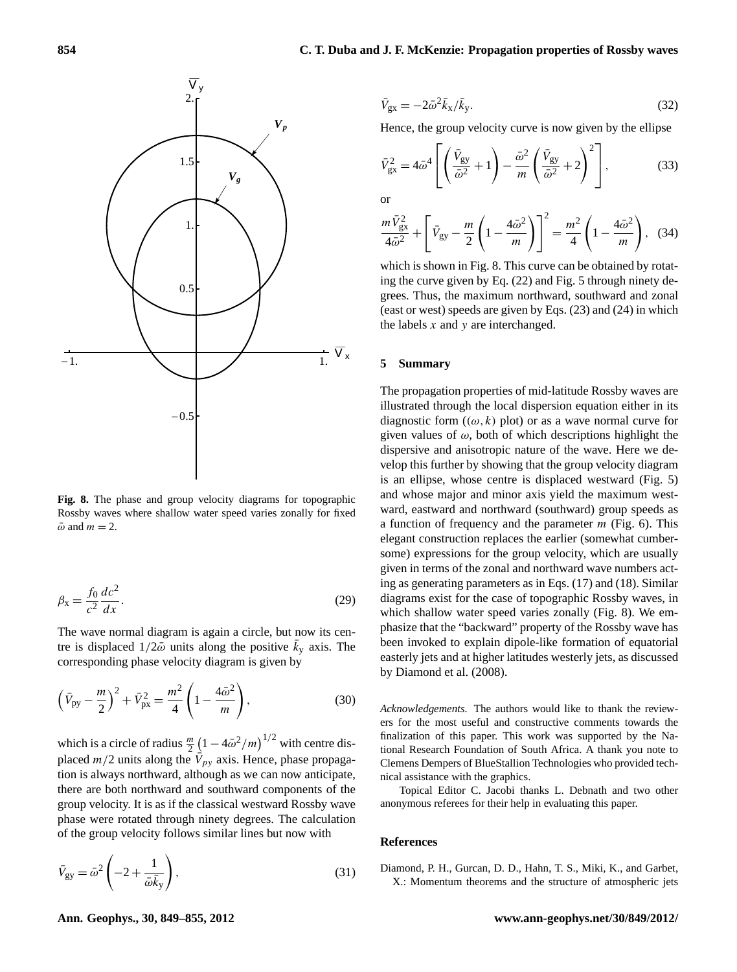

<span id="page-5-0"></span>**Fig. 8.** The phase and group velocity diagrams for topographic Rossby waves where shallow water speed varies zonally for fixed  $\bar{\omega}$  and  $m = 2$ .

$$
\beta_{\rm x} = \frac{f_0}{c^2} \frac{dc^2}{dx}.
$$
\n(29)

The wave normal diagram is again a circle, but now its centre is displaced  $1/2\overline{\omega}$  units along the positive  $\overline{k}_y$  axis. The corresponding phase velocity diagram is given by

$$
\left(\bar{V}_{\text{py}} - \frac{m}{2}\right)^2 + \bar{V}_{\text{px}}^2 = \frac{m^2}{4} \left(1 - \frac{4\bar{\omega}^2}{m}\right),\tag{30}
$$

which is a circle of radius  $\frac{m}{2} (1 - 4\bar{\omega}^2/m)^{1/2}$  with centre displaced  $m/2$  units along the  $\vec{V}_{py}$  axis. Hence, phase propagation is always northward, although as we can now anticipate, there are both northward and southward components of the group velocity. It is as if the classical westward Rossby wave phase were rotated through ninety degrees. The calculation of the group velocity follows similar lines but now with

$$
\bar{V}_{\rm gy} = \bar{\omega}^2 \left( -2 + \frac{1}{\bar{\omega}\bar{k}_y} \right),\tag{31}
$$

$$
\bar{V}_{\rm gx} = -2\bar{\omega}^2 \bar{k}_{\rm x}/\bar{k}_{\rm y}.\tag{32}
$$

Hence, the group velocity curve is now given by the ellipse

$$
\bar{V}_{\rm gx}^2 = 4\bar{\omega}^4 \left[ \left( \frac{\bar{V}_{\rm gy}}{\bar{\omega}^2} + 1 \right) - \frac{\bar{\omega}^2}{m} \left( \frac{\bar{V}_{\rm gy}}{\bar{\omega}^2} + 2 \right)^2 \right],\tag{33}
$$

or

$$
\frac{m\,\bar{V}_{\rm gx}^2}{4\bar{\omega}^2} + \left[\,\bar{V}_{\rm gy} - \frac{m}{2}\left(1 - \frac{4\bar{\omega}^2}{m}\right)\right]^2 = \frac{m^2}{4}\left(1 - \frac{4\bar{\omega}^2}{m}\right),\tag{34}
$$

which is shown in Fig. [8.](#page-5-0) This curve can be obtained by rotating the curve given by Eq. [\(22\)](#page-4-3) and Fig. [5](#page-3-7) through ninety degrees. Thus, the maximum northward, southward and zonal (east or west) speeds are given by Eqs. [\(23\)](#page-4-4) and [\(24\)](#page-4-5) in which the labels  $x$  and  $y$  are interchanged.

#### **5 Summary**

The propagation properties of mid-latitude Rossby waves are illustrated through the local dispersion equation either in its diagnostic form  $((\omega, k)$  plot) or as a wave normal curve for given values of  $\omega$ , both of which descriptions highlight the dispersive and anisotropic nature of the wave. Here we develop this further by showing that the group velocity diagram is an ellipse, whose centre is displaced westward (Fig. [5\)](#page-3-7) and whose major and minor axis yield the maximum westward, eastward and northward (southward) group speeds as a function of frequency and the parameter  $m$  (Fig. [6\)](#page-4-1). This elegant construction replaces the earlier (somewhat cumbersome) expressions for the group velocity, which are usually given in terms of the zonal and northward wave numbers acting as generating parameters as in Eqs. (17) and (18). Similar diagrams exist for the case of topographic Rossby waves, in which shallow water speed varies zonally (Fig. [8\)](#page-5-0). We emphasize that the "backward" property of the Rossby wave has been invoked to explain dipole-like formation of equatorial easterly jets and at higher latitudes westerly jets, as discussed by Diamond et al. (2008).

*Acknowledgements.* The authors would like to thank the reviewers for the most useful and constructive comments towards the finalization of this paper. This work was supported by the National Research Foundation of South Africa. A thank you note to Clemens Dempers of BlueStallion Technologies who provided technical assistance with the graphics.

Topical Editor C. Jacobi thanks L. Debnath and two other anonymous referees for their help in evaluating this paper.

#### **References**

Diamond, P. H., Gurcan, D. D., Hahn, T. S., Miki, K., and Garbet, X.: Momentum theorems and the structure of atmospheric jets